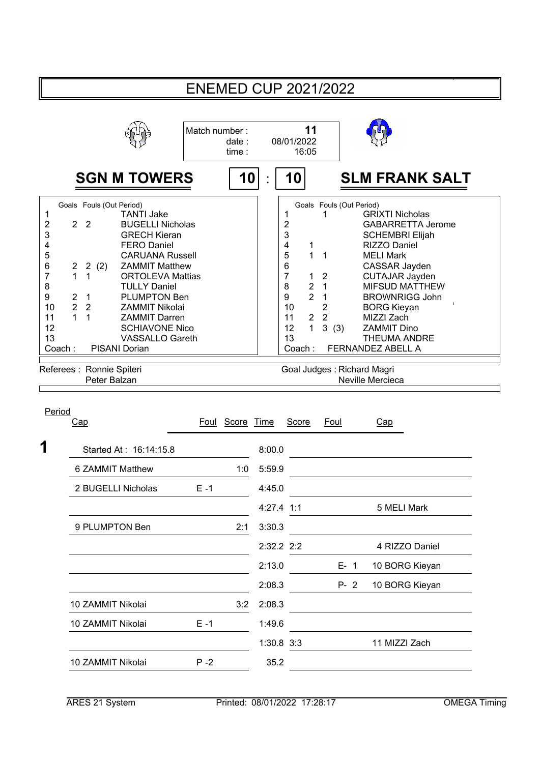| <b>ENEMED CUP 2021/2022</b>                                                 |                                                                                                                                                                                                                                                                           |                                                                                                                                                                                                                                                                                                                                                   |               |                 |                      |                                                                                                                                                                                          |                                                                                                                                                              |                                                                                                                                                                                                                                                                                                                                        |  |  |  |
|-----------------------------------------------------------------------------|---------------------------------------------------------------------------------------------------------------------------------------------------------------------------------------------------------------------------------------------------------------------------|---------------------------------------------------------------------------------------------------------------------------------------------------------------------------------------------------------------------------------------------------------------------------------------------------------------------------------------------------|---------------|-----------------|----------------------|------------------------------------------------------------------------------------------------------------------------------------------------------------------------------------------|--------------------------------------------------------------------------------------------------------------------------------------------------------------|----------------------------------------------------------------------------------------------------------------------------------------------------------------------------------------------------------------------------------------------------------------------------------------------------------------------------------------|--|--|--|
|                                                                             |                                                                                                                                                                                                                                                                           |                                                                                                                                                                                                                                                                                                                                                   | Match number: | date:<br>time:  |                      | 11<br>08/01/2022<br>16:05                                                                                                                                                                |                                                                                                                                                              |                                                                                                                                                                                                                                                                                                                                        |  |  |  |
|                                                                             |                                                                                                                                                                                                                                                                           | <b>SGN M TOWERS</b>                                                                                                                                                                                                                                                                                                                               |               | 10              |                      | 10                                                                                                                                                                                       |                                                                                                                                                              | <b>SLM FRANK SALT</b>                                                                                                                                                                                                                                                                                                                  |  |  |  |
| 1<br>2<br>3<br>4<br>5<br>6<br>7<br>8<br>9<br>10<br>11<br>12<br>13<br>Coach: | Goals Fouls (Out Period)<br>$\overline{2}$<br>$\overline{2}$<br>2(2)<br>$\overline{\mathbf{c}}$<br>1<br>$\mathbf{1}$<br>$\overline{2}$<br>$\mathbf{1}$<br>$\overline{2}$<br>$\overline{2}$<br>$\overline{1}$<br>$\mathbf{1}$<br>Referees : Ronnie Spiteri<br>Peter Balzan | <b>TANTI Jake</b><br><b>BUGELLI Nicholas</b><br><b>GRECH Kieran</b><br><b>FERO Daniel</b><br><b>CARUANA Russell</b><br><b>ZAMMIT Matthew</b><br><b>ORTOLEVA Mattias</b><br><b>TULLY Daniel</b><br><b>PLUMPTON Ben</b><br><b>ZAMMIT Nikolai</b><br><b>ZAMMIT Darren</b><br><b>SCHIAVONE Nico</b><br><b>VASSALLO Gareth</b><br><b>PISANI Dorian</b> |               |                 |                      | 1<br>$\overline{c}$<br>3<br>4<br>1<br>5<br>$\mathbf{1}$<br>6<br>7<br>1<br>8<br>$\overline{2}$<br>$\overline{2}$<br>9<br>10<br>11<br>$\overline{2}$<br>$\mathbf{1}$<br>12<br>13<br>Coach: | Goals Fouls (Out Period)<br>1<br>1<br>$\overline{2}$<br>$\overline{1}$<br>$\mathbf 1$<br>$\mathbf 2$<br>$\overline{2}$<br>3(3)<br>Goal Judges: Richard Magri | <b>GRIXTI Nicholas</b><br><b>GABARRETTA Jerome</b><br><b>SCHEMBRI Elijah</b><br>RIZZO Daniel<br><b>MELI Mark</b><br>CASSAR Jayden<br><b>CUTAJAR Jayden</b><br><b>MIFSUD MATTHEW</b><br><b>BROWNRIGG John</b><br><b>BORG Kieyan</b><br>MIZZI Zach<br><b>ZAMMIT Dino</b><br><b>THEUMA ANDRE</b><br>FERNANDEZ ABELL A<br>Neville Mercieca |  |  |  |
| Period                                                                      | Cap                                                                                                                                                                                                                                                                       |                                                                                                                                                                                                                                                                                                                                                   |               | Foul Score Time |                      | Score                                                                                                                                                                                    | Foul                                                                                                                                                         | Cap                                                                                                                                                                                                                                                                                                                                    |  |  |  |
| 1                                                                           |                                                                                                                                                                                                                                                                           | Started At: 16:14:15.8                                                                                                                                                                                                                                                                                                                            |               |                 | 8:00.0               |                                                                                                                                                                                          |                                                                                                                                                              |                                                                                                                                                                                                                                                                                                                                        |  |  |  |
|                                                                             | 6 ZAMMIT Matthew                                                                                                                                                                                                                                                          |                                                                                                                                                                                                                                                                                                                                                   | 1:0           | 5:59.9          |                      |                                                                                                                                                                                          |                                                                                                                                                              |                                                                                                                                                                                                                                                                                                                                        |  |  |  |
|                                                                             | 2 BUGELLI Nicholas                                                                                                                                                                                                                                                        |                                                                                                                                                                                                                                                                                                                                                   | $E - 1$       |                 | 4:45.0               |                                                                                                                                                                                          |                                                                                                                                                              |                                                                                                                                                                                                                                                                                                                                        |  |  |  |
|                                                                             |                                                                                                                                                                                                                                                                           |                                                                                                                                                                                                                                                                                                                                                   |               |                 | 4:27.4 1:1           |                                                                                                                                                                                          |                                                                                                                                                              | 5 MELI Mark                                                                                                                                                                                                                                                                                                                            |  |  |  |
|                                                                             | 9 PLUMPTON Ben                                                                                                                                                                                                                                                            |                                                                                                                                                                                                                                                                                                                                                   | 2:1           | 3:30.3          |                      |                                                                                                                                                                                          |                                                                                                                                                              |                                                                                                                                                                                                                                                                                                                                        |  |  |  |
|                                                                             |                                                                                                                                                                                                                                                                           |                                                                                                                                                                                                                                                                                                                                                   |               |                 | 2:32.2 2:2           |                                                                                                                                                                                          |                                                                                                                                                              | 4 RIZZO Daniel                                                                                                                                                                                                                                                                                                                         |  |  |  |
|                                                                             |                                                                                                                                                                                                                                                                           |                                                                                                                                                                                                                                                                                                                                                   |               |                 | 2:13.0               |                                                                                                                                                                                          | $E - 1$                                                                                                                                                      | 10 BORG Kieyan                                                                                                                                                                                                                                                                                                                         |  |  |  |
|                                                                             |                                                                                                                                                                                                                                                                           |                                                                                                                                                                                                                                                                                                                                                   |               |                 | 2:08.3               |                                                                                                                                                                                          | $P - 2$                                                                                                                                                      | 10 BORG Kieyan                                                                                                                                                                                                                                                                                                                         |  |  |  |
|                                                                             | 10 ZAMMIT Nikolai                                                                                                                                                                                                                                                         |                                                                                                                                                                                                                                                                                                                                                   |               | 3:2             | 2:08.3               |                                                                                                                                                                                          |                                                                                                                                                              |                                                                                                                                                                                                                                                                                                                                        |  |  |  |
|                                                                             | 10 ZAMMIT Nikolai                                                                                                                                                                                                                                                         |                                                                                                                                                                                                                                                                                                                                                   | $E - 1$       |                 | 1:49.6<br>1:30.8 3:3 |                                                                                                                                                                                          |                                                                                                                                                              | 11 MIZZI Zach                                                                                                                                                                                                                                                                                                                          |  |  |  |
|                                                                             | 10 ZAMMIT Nikolai                                                                                                                                                                                                                                                         |                                                                                                                                                                                                                                                                                                                                                   | $P - 2$       |                 | 35.2                 |                                                                                                                                                                                          |                                                                                                                                                              |                                                                                                                                                                                                                                                                                                                                        |  |  |  |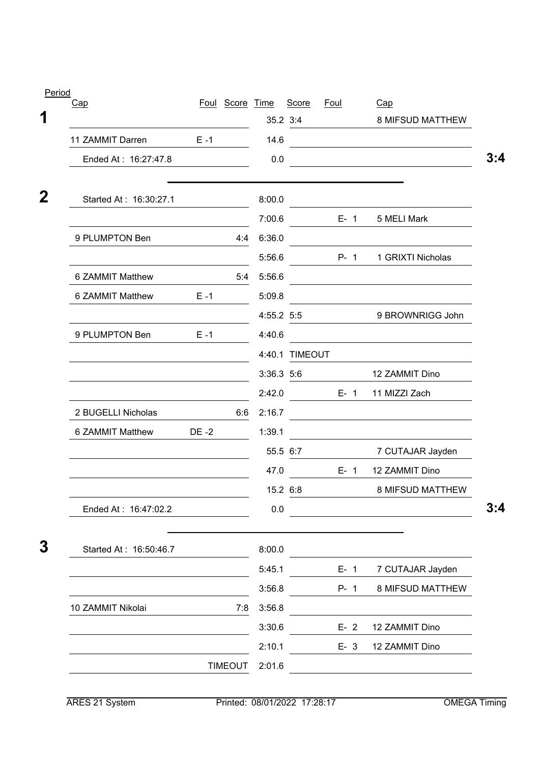| Cap                    |         | Foul Score Time |            | Score          | Foul    | Cap                                               |
|------------------------|---------|-----------------|------------|----------------|---------|---------------------------------------------------|
|                        |         |                 |            | 35.2 3:4       |         | 8 MIFSUD MATTHEW                                  |
| 11 ZAMMIT Darren       | $E - 1$ |                 | 14.6       |                |         | <u> 1980 - Johann Barbara, martxa alemaniar a</u> |
| Ended At: 16:27:47.8   |         |                 | 0.0        |                |         |                                                   |
| Started At: 16:30:27.1 |         |                 | 8:00.0     |                |         |                                                   |
|                        |         |                 | 7:00.6     |                | $E - 1$ | 5 MELI Mark                                       |
| 9 PLUMPTON Ben         |         | 4:4             | 6:36.0     |                |         |                                                   |
|                        |         |                 | 5:56.6     |                | $P - 1$ | 1 GRIXTI Nicholas                                 |
| 6 ZAMMIT Matthew       |         | 5:4             | 5:56.6     |                |         |                                                   |
| 6 ZAMMIT Matthew       | $E - 1$ |                 | 5:09.8     |                |         |                                                   |
|                        |         |                 | 4:55.2 5:5 |                |         | 9 BROWNRIGG John                                  |
| 9 PLUMPTON Ben         | $E - 1$ |                 | 4:40.6     |                |         |                                                   |
|                        |         |                 |            | 4:40.1 TIMEOUT |         |                                                   |
|                        |         |                 | 3:36.3 5:6 |                |         | 12 ZAMMIT Dino                                    |
|                        |         |                 | 2:42.0     |                | $E - 1$ | 11 MIZZI Zach                                     |
| 2 BUGELLI Nicholas     |         | 6:6             | 2:16.7     |                |         |                                                   |
| 6 ZAMMIT Matthew       | DE -2   |                 | 1:39.1     |                |         |                                                   |
|                        |         |                 | 55.5 6:7   |                |         | 7 CUTAJAR Jayden                                  |
|                        |         |                 | 47.0       |                | $E - 1$ | 12 ZAMMIT Dino                                    |
|                        |         |                 | 15.2 6:8   |                |         | 8 MIFSUD MATTHEW                                  |
| Ended At: 16:47:02.2   |         |                 | $0.0\,$    |                |         |                                                   |
| Started At: 16:50:46.7 |         |                 | 8:00.0     |                |         |                                                   |
|                        |         |                 | 5:45.1     |                | $E-1$   | 7 CUTAJAR Jayden                                  |
|                        |         |                 | 3:56.8     |                | P- 1    | 8 MIFSUD MATTHEW                                  |
| 10 ZAMMIT Nikolai      |         | 7:8             | 3:56.8     |                |         |                                                   |
|                        |         |                 | 3:30.6     |                | $E-2$   | 12 ZAMMIT Dino                                    |
|                        |         |                 | 2:10.1     |                | $E-3$   | 12 ZAMMIT Dino                                    |
|                        |         | <b>TIMEOUT</b>  | 2:01.6     |                |         |                                                   |